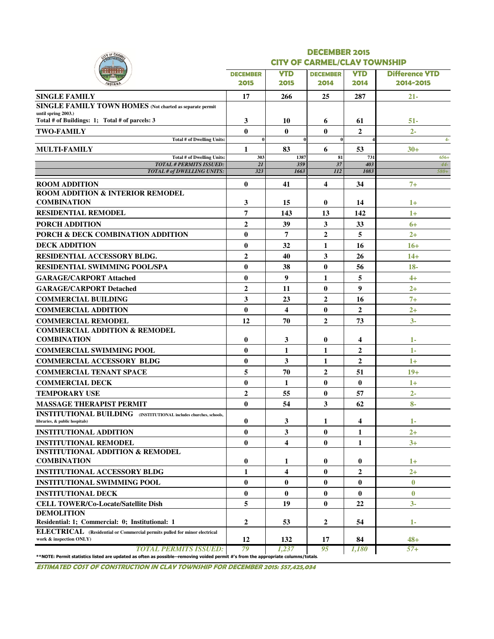| <b>CITY OF CARMEL/CLAY TOWNSHIP</b><br><b>DECEMBER</b><br>2014<br>25<br>6<br>$\bf{0}$<br>$\bf{0}$<br>6<br>1387<br>81<br>359<br>37<br>1663<br>112<br>$\overline{\mathbf{4}}$<br>0<br>13<br>$\mathbf{3}$<br>$\overline{2}$<br>1<br>3<br>$\bf{0}$<br>1<br>$\bf{0}$<br>$\overline{2}$<br>$\bf{0}$ | <b>YTD</b><br>2014<br>287<br>61<br>$\overline{2}$<br>53<br>731<br>403<br>1083<br>34<br>14<br>142<br>33<br>5<br>16<br>26<br>56<br>5<br>9<br>16<br>$\overline{2}$ | <b>Difference YTD</b><br>2014-2015<br>$21 -$<br>51-<br>$2 -$<br>$4-$<br>$30+$<br>$656+$<br>$44-$<br>580+<br>$7+$<br>$1+$<br>$1+$<br>$6+$<br>$2^{+}$<br>$16+$<br>$14+$<br>$18 -$<br>$4+$<br>$2+$<br>$7+$<br>$2+$ |
|-----------------------------------------------------------------------------------------------------------------------------------------------------------------------------------------------------------------------------------------------------------------------------------------------|-----------------------------------------------------------------------------------------------------------------------------------------------------------------|-----------------------------------------------------------------------------------------------------------------------------------------------------------------------------------------------------------------|
|                                                                                                                                                                                                                                                                                               |                                                                                                                                                                 |                                                                                                                                                                                                                 |
|                                                                                                                                                                                                                                                                                               |                                                                                                                                                                 |                                                                                                                                                                                                                 |
|                                                                                                                                                                                                                                                                                               |                                                                                                                                                                 |                                                                                                                                                                                                                 |
|                                                                                                                                                                                                                                                                                               |                                                                                                                                                                 |                                                                                                                                                                                                                 |
|                                                                                                                                                                                                                                                                                               |                                                                                                                                                                 |                                                                                                                                                                                                                 |
|                                                                                                                                                                                                                                                                                               |                                                                                                                                                                 |                                                                                                                                                                                                                 |
|                                                                                                                                                                                                                                                                                               |                                                                                                                                                                 |                                                                                                                                                                                                                 |
|                                                                                                                                                                                                                                                                                               |                                                                                                                                                                 |                                                                                                                                                                                                                 |
|                                                                                                                                                                                                                                                                                               |                                                                                                                                                                 |                                                                                                                                                                                                                 |
|                                                                                                                                                                                                                                                                                               |                                                                                                                                                                 |                                                                                                                                                                                                                 |
|                                                                                                                                                                                                                                                                                               |                                                                                                                                                                 |                                                                                                                                                                                                                 |
|                                                                                                                                                                                                                                                                                               |                                                                                                                                                                 |                                                                                                                                                                                                                 |
|                                                                                                                                                                                                                                                                                               |                                                                                                                                                                 |                                                                                                                                                                                                                 |
|                                                                                                                                                                                                                                                                                               |                                                                                                                                                                 |                                                                                                                                                                                                                 |
|                                                                                                                                                                                                                                                                                               |                                                                                                                                                                 |                                                                                                                                                                                                                 |
|                                                                                                                                                                                                                                                                                               |                                                                                                                                                                 |                                                                                                                                                                                                                 |
|                                                                                                                                                                                                                                                                                               |                                                                                                                                                                 |                                                                                                                                                                                                                 |
|                                                                                                                                                                                                                                                                                               |                                                                                                                                                                 |                                                                                                                                                                                                                 |
|                                                                                                                                                                                                                                                                                               |                                                                                                                                                                 |                                                                                                                                                                                                                 |
|                                                                                                                                                                                                                                                                                               |                                                                                                                                                                 |                                                                                                                                                                                                                 |
|                                                                                                                                                                                                                                                                                               |                                                                                                                                                                 |                                                                                                                                                                                                                 |
|                                                                                                                                                                                                                                                                                               |                                                                                                                                                                 |                                                                                                                                                                                                                 |
|                                                                                                                                                                                                                                                                                               |                                                                                                                                                                 |                                                                                                                                                                                                                 |
|                                                                                                                                                                                                                                                                                               |                                                                                                                                                                 |                                                                                                                                                                                                                 |
| $\overline{2}$                                                                                                                                                                                                                                                                                | 73                                                                                                                                                              | $3 -$                                                                                                                                                                                                           |
|                                                                                                                                                                                                                                                                                               |                                                                                                                                                                 |                                                                                                                                                                                                                 |
| $\bf{0}$                                                                                                                                                                                                                                                                                      | 4                                                                                                                                                               | $1-$                                                                                                                                                                                                            |
| 1                                                                                                                                                                                                                                                                                             | $\overline{2}$                                                                                                                                                  | $1 -$                                                                                                                                                                                                           |
| 1                                                                                                                                                                                                                                                                                             | $\overline{2}$                                                                                                                                                  | $1+$                                                                                                                                                                                                            |
| $\overline{2}$                                                                                                                                                                                                                                                                                | 51                                                                                                                                                              | $19+$                                                                                                                                                                                                           |
| $\bf{0}$                                                                                                                                                                                                                                                                                      | $\bf{0}$                                                                                                                                                        | $1+$                                                                                                                                                                                                            |
| $\bf{0}$                                                                                                                                                                                                                                                                                      | 57                                                                                                                                                              | $2 -$                                                                                                                                                                                                           |
| 3                                                                                                                                                                                                                                                                                             | 62                                                                                                                                                              | $8-$                                                                                                                                                                                                            |
| 1                                                                                                                                                                                                                                                                                             | 4                                                                                                                                                               | $1-$                                                                                                                                                                                                            |
| $\bf{0}$                                                                                                                                                                                                                                                                                      | 1                                                                                                                                                               | $2+$                                                                                                                                                                                                            |
| $\bf{0}$                                                                                                                                                                                                                                                                                      | 1                                                                                                                                                               | $3+$                                                                                                                                                                                                            |
|                                                                                                                                                                                                                                                                                               |                                                                                                                                                                 |                                                                                                                                                                                                                 |
| $\bf{0}$                                                                                                                                                                                                                                                                                      | $\bf{0}$                                                                                                                                                        | $1+$                                                                                                                                                                                                            |
| $\bf{0}$                                                                                                                                                                                                                                                                                      | 2                                                                                                                                                               | $2+$                                                                                                                                                                                                            |
| 0                                                                                                                                                                                                                                                                                             | 0                                                                                                                                                               | $\boldsymbol{0}$                                                                                                                                                                                                |
| $\bf{0}$                                                                                                                                                                                                                                                                                      | $\bf{0}$                                                                                                                                                        | $\bf{0}$                                                                                                                                                                                                        |
| $\bf{0}$                                                                                                                                                                                                                                                                                      | 22                                                                                                                                                              | $3-$                                                                                                                                                                                                            |
|                                                                                                                                                                                                                                                                                               |                                                                                                                                                                 |                                                                                                                                                                                                                 |
| 2                                                                                                                                                                                                                                                                                             | 54                                                                                                                                                              | 1-                                                                                                                                                                                                              |
|                                                                                                                                                                                                                                                                                               | 84                                                                                                                                                              | $48+$                                                                                                                                                                                                           |
|                                                                                                                                                                                                                                                                                               | 17                                                                                                                                                              |                                                                                                                                                                                                                 |

ESTIMATED COST OF CONSTRUCTION IN CLAY TOWNSHIP FOR DECEMBER 2015: \$57,425,034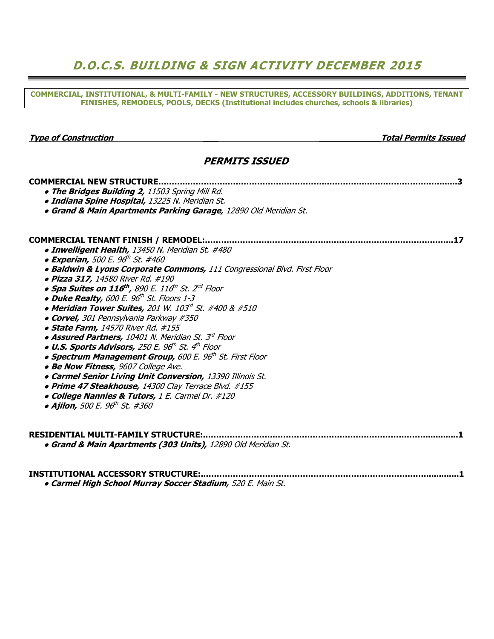# D.O.C.S. BUILDING & SIGN ACTIVITY DECEMBER 2015

COMMERCIAL, INSTITUTIONAL, & MULTI-FAMILY - NEW STRUCTURES, ACCESSORY BUILDINGS, ADDITIONS, TENANT FINISHES, REMODELS, POOLS, DECKS (Institutional includes churches, schools & libraries)

#### Type of Construction and the construction of the construction of the construction of the construction of the construction of the construction of the construction of the construction of the construction of the construction

### PERMITS ISSUED

| <b>COMMERCIAL NEW STRUCTURE.</b>                                                               |
|------------------------------------------------------------------------------------------------|
| . The Bridges Building 2, 11503 Spring Mill Rd.                                                |
| · Indiana Spine Hospital, 13225 N. Meridian St.                                                |
| · Grand & Main Apartments Parking Garage, 12890 Old Meridian St.                               |
|                                                                                                |
| <b>COMMERCIAL TENANT FINISH / REMODEL:</b><br>17                                               |
| • Inwelligent Health, 13450 N. Meridian St. #480                                               |
| • Experian, 500 E. 96 <sup>th</sup> St. #460                                                   |
| · Baldwin & Lyons Corporate Commons, 111 Congressional Blvd. First Floor                       |
| · Pizza 317, 14580 River Rd. #190                                                              |
| $\bullet$ Spa Suites on 116 <sup>th</sup> , 890 E. 116 <sup>th</sup> St. 2 <sup>nd</sup> Floor |
| • Duke Realty, 600 E. 96 <sup>th</sup> St. Floors 1-3                                          |
| • Meridian Tower Suites, 201 W. 103d St. #400 & #510                                           |
| • Corvel, 301 Pennsylvania Parkway #350                                                        |
| · State Farm, 14570 River Rd. #155                                                             |
| • Assured Partners, 10401 N. Meridian St. 3 <sup>rd</sup> Floor                                |
| . U.S. Sports Advisors, 250 E. 96th St. 4th Floor                                              |
| • Spectrum Management Group, 600 E. 96th St. First Floor                                       |
| · Be Now Fitness, 9607 College Ave.                                                            |
| • Carmel Senior Living Unit Conversion, 13390 Illinois St.                                     |
| · Prime 47 Steakhouse, 14300 Clay Terrace Blvd. #155                                           |
| • College Nannies & Tutors, 1 E. Carmel Dr. #120                                               |
| • Ajilon, 500 E. 96 <sup>th</sup> St. #360                                                     |
|                                                                                                |
| <b>RESIDENTIAL MULTI-FAMILY STRUCTURE:</b>                                                     |
| • Grand & Main Apartments (303 Units), 12890 Old Meridian St.                                  |
| <b>INSTITUTIONAL ACCESSORY STRUCTURE:</b>                                                      |

**• Carmel High School Murray Soccer Stadium, 520 E. Main St.**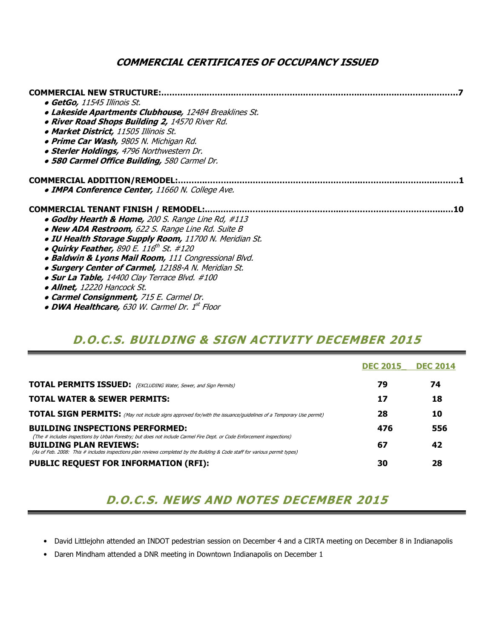## COMMERCIAL CERTIFICATES OF OCCUPANCY ISSUED

| <b>COMMERCIAL NEW STRUCTURE:</b>                             |
|--------------------------------------------------------------|
| • GetGo, 11545 Illinois St.                                  |
| <b>. Lakeside Apartments Clubhouse, 12484 Breaklines St.</b> |
| . River Road Shops Building 2, 14570 River Rd.               |
| • Market District, 11505 Illinois St.                        |
| • Prime Car Wash, 9805 N. Michigan Rd.                       |
| · Sterler Holdings, 4796 Northwestern Dr.                    |
| · 580 Carmel Office Building, 580 Carmel Dr.                 |
| <b>COMMERCIAL ADDITION/REMODEL:</b>                          |
| <b>. IMPA Conference Center, 11660 N. College Ave.</b>       |
| <b>COMMERCIAL TENANT FINISH / REMODEL:.</b><br>10            |
| • Godby Hearth & Home, 200 S. Range Line Rd, #113            |
| • New ADA Restroom, 622 S. Range Line Rd. Suite B            |
| . IU Health Storage Supply Room, 11700 N. Meridian St.       |
| • Quirky Feather, 890 E. $116^{th}$ St. #120                 |
| • Baldwin & Lyons Mail Room, 111 Congressional Blvd.         |
| <b>. Surgery Center of Carmel, 12188-A N. Meridian St.</b>   |
| • Sur La Table, 14400 Clay Terrace Blvd. #100                |
| • Allnet, 12220 Hancock St.                                  |
|                                                              |

• DWA Healthcare, 630 W. Carmel Dr. 1st Floor

# D.O.C.S. BUILDING & SIGN ACTIVITY DECEMBER 2015

|                                                                                                                                                                                                                                                                                        | <b>DEC 2015</b> | <b>DEC 2014</b> |
|----------------------------------------------------------------------------------------------------------------------------------------------------------------------------------------------------------------------------------------------------------------------------------------|-----------------|-----------------|
| <b>TOTAL PERMITS ISSUED:</b> (EXCLUDING Water, Sewer, and Sign Permits)                                                                                                                                                                                                                | 79              | 74              |
| <b>TOTAL WATER &amp; SEWER PERMITS:</b>                                                                                                                                                                                                                                                | 17              | 18              |
| <b>TOTAL SIGN PERMITS:</b> (May not include signs approved for/with the issuance/guidelines of a Temporary Use permit)                                                                                                                                                                 | 28              | 10              |
| <b>BUILDING INSPECTIONS PERFORMED:</b>                                                                                                                                                                                                                                                 | 476             | 556             |
| (The # includes inspections by Urban Forestry; but does not include Carmel Fire Dept. or Code Enforcement inspections)<br><b>BUILDING PLAN REVIEWS:</b><br>(As of Feb. 2008: This # includes inspections plan reviews completed by the Building & Code staff for various permit types) | 67              | 42              |
| <b>PUBLIC REQUEST FOR INFORMATION (RFI):</b>                                                                                                                                                                                                                                           | 30              | 28              |

# D.O.C.S. NEWS AND NOTES DECEMBER 2015

- David Littlejohn attended an INDOT pedestrian session on December 4 and a CIRTA meeting on December 8 in Indianapolis
- Daren Mindham attended a DNR meeting in Downtown Indianapolis on December 1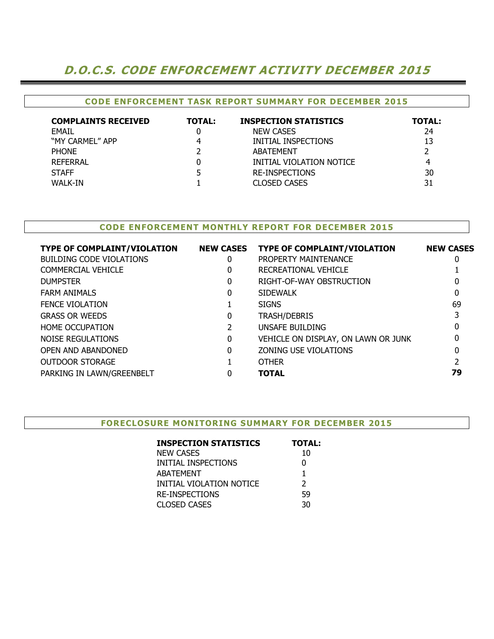# D.O.C.S. CODE ENFORCEMENT ACTIVITY DECEMBER 2015

## CODE ENFORCEMENT TASK REPORT SUMMARY FOR DECEMBER 2015

| <b>COMPLAINTS RECEIVED</b> | <b>TOTAL:</b> | <b>INSPECTION STATISTICS</b> | <b>TOTAL:</b> |
|----------------------------|---------------|------------------------------|---------------|
| EMAIL                      |               | <b>NEW CASES</b>             | 24            |
| "MY CARMEL" APP            |               | INITIAL INSPECTIONS          | 13            |
| <b>PHONE</b>               |               | ABATEMENT                    |               |
| <b>REFERRAL</b>            |               | INITIAL VIOLATION NOTICE     | 4             |
| <b>STAFF</b>               |               | RE-INSPECTIONS               | 30            |
| WALK-IN                    |               | <b>CLOSED CASES</b>          | 31            |

#### CODE ENFORCEMENT MONTHLY REPORT FOR DECEMBER 2015

| <b>TYPE OF COMPLAINT/VIOLATION</b> | <b>NEW CASES</b> | <b>TYPE OF COMPLAINT/VIOLATION</b>  | <b>NEW CASES</b> |
|------------------------------------|------------------|-------------------------------------|------------------|
| <b>BUILDING CODE VIOLATIONS</b>    | 0                | PROPERTY MAINTENANCE                | 0                |
| <b>COMMERCIAL VEHICLE</b>          | 0                | RECREATIONAL VEHICLE                |                  |
| <b>DUMPSTER</b>                    | 0                | RIGHT-OF-WAY OBSTRUCTION            |                  |
| <b>FARM ANIMALS</b>                | 0                | <b>SIDEWALK</b>                     | 0                |
| <b>FENCE VIOLATION</b>             |                  | <b>SIGNS</b>                        | 69               |
| <b>GRASS OR WEEDS</b>              | 0                | <b>TRASH/DEBRIS</b>                 |                  |
| <b>HOME OCCUPATION</b>             |                  | UNSAFE BUILDING                     | 0                |
| NOISE REGULATIONS                  | 0                | VEHICLE ON DISPLAY, ON LAWN OR JUNK | 0                |
| OPEN AND ABANDONED                 | 0                | ZONING USE VIOLATIONS               | 0                |
| <b>OUTDOOR STORAGE</b>             |                  | <b>OTHER</b>                        |                  |
| PARKING IN LAWN/GREENBELT          |                  | <b>TOTAL</b>                        | 79               |

#### FORECLOSURE MONITORING SUMMARY FOR DECEMBER 2015

| <b>TOTAL:</b> |
|---------------|
| 10            |
| 0             |
| 1             |
| $\mathcal{P}$ |
| 59            |
| 30            |
|               |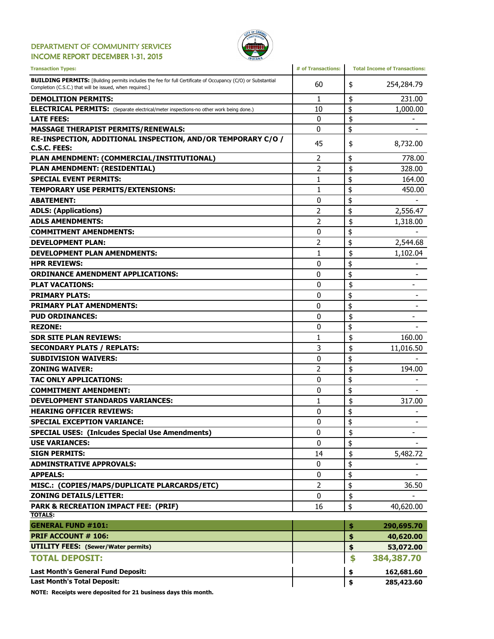#### DEPARTMENT OF COMMUNITY SERVICES INCOME REPORT DECEMBER 1-31, 2015



| <b>Transaction Types:</b>                                                                                                                                                      | # of Transactions: | <b>Total Income of Transactions:</b> |
|--------------------------------------------------------------------------------------------------------------------------------------------------------------------------------|--------------------|--------------------------------------|
| <b>BUILDING PERMITS:</b> [Building permits includes the fee for full Certificate of Occupancy (C/O) or Substantial<br>Completion (C.S.C.) that will be issued, when required.] | 60                 | 254,284.79<br>\$                     |
| <b>DEMOLITION PERMITS:</b>                                                                                                                                                     | 1                  | \$<br>231.00                         |
| <b>ELECTRICAL PERMITS:</b> (Separate electrical/meter inspections-no other work being done.)                                                                                   | 10                 | \$<br>1,000.00                       |
| <b>LATE FEES:</b>                                                                                                                                                              | 0                  | \$                                   |
| <b>MASSAGE THERAPIST PERMITS/RENEWALS:</b>                                                                                                                                     | 0                  | \$                                   |
| RE-INSPECTION, ADDITIONAL INSPECTION, AND/OR TEMPORARY C/O /<br><b>C.S.C. FEES:</b>                                                                                            | 45                 | 8,732.00<br>\$                       |
| PLAN AMENDMENT: (COMMERCIAL/INSTITUTIONAL)                                                                                                                                     | 2                  | \$<br>778.00                         |
| PLAN AMENDMENT: (RESIDENTIAL)                                                                                                                                                  | 2                  | \$<br>328.00                         |
| <b>SPECIAL EVENT PERMITS:</b>                                                                                                                                                  | $\mathbf{1}$       | \$<br>164.00                         |
| <b>TEMPORARY USE PERMITS/EXTENSIONS:</b>                                                                                                                                       | 1                  | \$<br>450.00                         |
| <b>ABATEMENT:</b>                                                                                                                                                              | 0                  | \$                                   |
| <b>ADLS: (Applications)</b>                                                                                                                                                    | 2                  | \$<br>2,556.47                       |
| <b>ADLS AMENDMENTS:</b>                                                                                                                                                        | $\overline{2}$     | \$<br>1,318.00                       |
| <b>COMMITMENT AMENDMENTS:</b>                                                                                                                                                  | 0                  | \$                                   |
| <b>DEVELOPMENT PLAN:</b>                                                                                                                                                       | 2                  | \$<br>2,544.68                       |
| <b>DEVELOPMENT PLAN AMENDMENTS:</b>                                                                                                                                            | 1                  | \$<br>1,102.04                       |
| <b>HPR REVIEWS:</b>                                                                                                                                                            | 0                  | \$                                   |
| <b>ORDINANCE AMENDMENT APPLICATIONS:</b>                                                                                                                                       | 0                  | \$                                   |
| <b>PLAT VACATIONS:</b>                                                                                                                                                         | 0                  | \$<br>-                              |
| <b>PRIMARY PLATS:</b>                                                                                                                                                          | 0                  | \$                                   |
| <b>PRIMARY PLAT AMENDMENTS:</b>                                                                                                                                                | 0                  | \$                                   |
| <b>PUD ORDINANCES:</b>                                                                                                                                                         | $\mathbf{0}$       | \$<br>$\overline{\phantom{0}}$       |
| <b>REZONE:</b>                                                                                                                                                                 | 0                  | \$                                   |
| <b>SDR SITE PLAN REVIEWS:</b>                                                                                                                                                  | 1                  | \$<br>160.00                         |
| <b>SECONDARY PLATS / REPLATS:</b>                                                                                                                                              | 3                  | \$<br>11,016.50                      |
| <b>SUBDIVISION WAIVERS:</b>                                                                                                                                                    | 0                  | \$                                   |
| <b>ZONING WAIVER:</b>                                                                                                                                                          | $\overline{2}$     | \$<br>194.00                         |
| <b>TAC ONLY APPLICATIONS:</b>                                                                                                                                                  | 0                  | \$                                   |
| <b>COMMITMENT AMENDMENT:</b>                                                                                                                                                   | 0                  | \$                                   |
| <b>DEVELOPMENT STANDARDS VARIANCES:</b>                                                                                                                                        | 1                  | \$<br>317.00                         |
| <b>HEARING OFFICER REVIEWS:</b>                                                                                                                                                | 0                  | \$                                   |
| <b>SPECIAL EXCEPTION VARIANCE:</b>                                                                                                                                             | $\mathbf{0}$       | \$                                   |
| <b>SPECIAL USES: (Inlcudes Special Use Amendments)</b>                                                                                                                         | 0                  | \$<br>-                              |
| <b>USE VARIANCES:</b>                                                                                                                                                          | $\mathbf{0}$       | \$                                   |
| <b>SIGN PERMITS:</b>                                                                                                                                                           | 14                 | \$<br>5,482.72                       |
| <b>ADMINSTRATIVE APPROVALS:</b>                                                                                                                                                | 0                  | \$                                   |
| <b>APPEALS:</b>                                                                                                                                                                | 0                  | \$                                   |
| MISC.: (COPIES/MAPS/DUPLICATE PLARCARDS/ETC)                                                                                                                                   | $\overline{2}$     | \$<br>36.50                          |
| <b>ZONING DETAILS/LETTER:</b>                                                                                                                                                  | 0                  | \$                                   |
| <b>PARK &amp; RECREATION IMPACT FEE: (PRIF)</b>                                                                                                                                | 16                 | \$<br>40,620.00                      |
| <b>TOTALS:</b>                                                                                                                                                                 |                    |                                      |
| <b>GENERAL FUND #101:</b>                                                                                                                                                      |                    | 290,695.70<br>\$                     |
| <b>PRIF ACCOUNT # 106:</b>                                                                                                                                                     |                    | \$<br>40,620.00                      |
| <b>UTILITY FEES:</b> (Sewer/Water permits)                                                                                                                                     |                    | \$<br>53,072.00                      |
| <b>TOTAL DEPOSIT:</b>                                                                                                                                                          |                    | \$<br>384,387.70                     |
| Last Month's General Fund Deposit:                                                                                                                                             |                    | 162,681.60<br>\$                     |
| <b>Last Month's Total Deposit:</b>                                                                                                                                             |                    | \$<br>285,423.60                     |

NOTE: Receipts were deposited for 21 business days this month.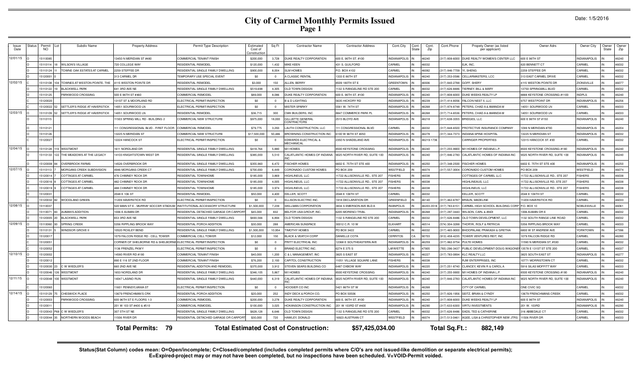# **City of Carmel Monthly Permits Issued Page 1**

|  | Date: 1/5/2016 |
|--|----------------|
|--|----------------|

| Issue<br>Date | tatu | Permi<br><b>NO</b> | Subdiv Name                      | <b>Property Address</b>               | Permit Type Description                   | Estimated<br>Cost of<br>Constructio | Sq Ft          | <b>Contractor Name</b>                       | <b>Contractor Address</b>      | Cont.City           | Cont<br><b>State</b> | Cont<br>Zip | Cont.Phone    | Propety Owner (as listed<br>per applicant) | Owner Adrs                     | Owner City          | : Dwner<br>State | Owne<br>Zip |
|---------------|------|--------------------|----------------------------------|---------------------------------------|-------------------------------------------|-------------------------------------|----------------|----------------------------------------------|--------------------------------|---------------------|----------------------|-------------|---------------|--------------------------------------------|--------------------------------|---------------------|------------------|-------------|
| 12/01/15      |      | 15110085           |                                  | 3450 N MERIDIAN ST #480               | COMMERCIAL TENANT FINISH                  | \$200,000                           | 3,728          | DUKE REALTY CORPORATION                      | 600 E. 96TH ST. #100           | <b>INDIANAPOLIS</b> |                      | 46240       | 17) 808-6000  | DUKE REALTY WOMEN'S CENTER LLC             | 600 E 96TH ST                  | <b>INDIANAPOLIS</b> |                  | 46240       |
|               |      | 1511011            | <b>WILSON'S VILLAGE</b>          | 720 COLLEGE WAY                       | RESIDENTIAL REMODEL                       | \$120,000                           | 1,432          | MIKE KEEN                                    | 431 S. GUILFORD                | CARMEL              |                      | 46032       |               | EJK, INC.                                  | <b>820 BENNETT CT</b>          | CARMEL              |                  | 46032       |
|               |      | 15110124           | TOWNE OAK ESTATES AT CARMEL      | 2259 STEFFEE DR                       | RESIDENTIAL SINGLE FAMILY DWELLING        | \$900,000                           | 8.004          | <b>SLM HOMES</b>                             | P.O. BOX 4102                  | CARMEL              |                      | 46082       | 317) 846-7709 | YI, SHENG                                  | 2259 STEFFEE DR                | CARMEL              |                  | 46032       |
|               |      | 1512000            |                                  | 313 CARMEL DR                         | TEMPORARY USE SPECIAL EVENT               | \$0                                 | $\Omega$       | <b>CLASSIC RENTAL</b>                        | 1333 E 86TH ST                 | <b>INDIANAPOLIS</b> |                      | 46240       | 317) 253-0586 | CELLARMASTERS, LCC                         | 313 EAST CARMEL DRIVE          | CARMEL              |                  | 46032       |
| 12/02/15      |      | 1511010            | TOWNES AT WESTON POINTE. THE     | 4115 WESTON POINTE DR                 | RESIDENTIAL REMODEL                       | \$3,000                             | 150            | <b>ILLEN, BERRY</b>                          | 8509 180TH ST E                | <b>GREENTOWN</b>    |                      | 46936       | 317) 840-2788 | <b>GOFF, SHERY</b>                         | 1115 WESTON POINTE DR          | <b>ZIONSVILLE</b>   |                  | 46077       |
|               |      | 1511012            | <b>BLACKWELL PARK</b>            | 641 3RD AVE NE                        | RESIDENTIAL SINGLE FAMILY DWELLING        | \$519,698                           | 4.305          | OLD TOWN DESIGN                              | 1132 S RANGELINE RD STE 200    | CARMEL              |                      | 46032       | 317) 626-8486 | TIERNEY, BILL & MARY                       | 13750 SPRINGMILL BLVD          | CARMEL              |                  | 46032       |
|               |      | 1511012            | ARKWOOD CROSSING                 | 500 E 96TH ST #460                    | COMMERCIAL REMODE                         | \$89,000                            | 8.086          | DUKE REALTY CORPORATION                      | 600 E. 96TH ST. #100           | <b>INDIANAPOLIS</b> |                      | 46240       | 317) 808-6000 | DUKE WEEKS REALTY LP                       | 8888 KEYSTONE CROSSING #1100   | <b>INDPLS</b>       |                  | 46240       |
|               |      | 1512002            |                                  | 131ST ST & MOORLAND RD                | ELECTRICAL PERMIT/INSPECTION              | \$0                                 | $\overline{0}$ | <b>B &amp; D LIGHTING</b>                    | 5635 HICKORY RD                | NDIANAPOLI:         |                      | 46239       | 317) 414-805  | FALCON NEST II, LLC                        | 9757 WESTPOINT DR              | <b>INDIANAPOLIS</b> |                  | 46256       |
|               |      | 512002             | ETTLER'S RIDGE AT HAVERSTICI     | 4051 SOURWOOD LN                      | <b>ELECTRICAL PERMIT/INSPECTION</b>       | \$0                                 | $\Omega$       | <b>IISTER SPARKY</b>                         | 5561 W. 74TH ST                | NDIANAPOLIS         |                      | 46268       | 317) 874-8748 | PETERS, CHAD A & AMANDA M                  | 4051 SOURWOOD LN               | CARMEL              |                  | 16033       |
| 12/03/15      |      | 511010             | SETTLER'S RIDGE AT HAVERSTICI    | 4051 SOURWOOD LN                      | <b>RESIDENTIAL REMODEL</b>                | \$36,715                            | 300            | MH BUILDERS, INC.                            | <b>3847 COMMERCE PARK PI</b>   | NDIANAPOLIS         |                      | 46268       | 317) 714-6536 | PETERS, CHAD A & AMANDA M                  | 4051 SOURWOOD LN               | CARMEL              |                  | 16033       |
|               |      | 15110115           |                                  | 1503 SPRING MILL RD - BUILDING 2      | COMMERCIAL NEW STRUCTURE                  | \$975,000                           | 18,000         | GILLIATTE GENERAL<br>ONTRACTORS              | 2515 BLOYD AVE                 | NDIANAPOLIS         |                      | 46218       | 317) 638-3355 | BRIDGES, LLC                               | 600 E 96TH ST #150             | <b>INDIANAPOLIS</b> |                  | 46240       |
|               |      | 1511012            |                                  | 111 CONGRESSIONAL BLVD - FIRST FLOOR  | COMMERCIAL REMODEL                        | \$79,775                            | 3,293          | AUTH CONSTRUCTION, LLC                       | 11 CONGRESSIONAL BLVD          | CARMEL              |                      | 46032       | 317) 848-6500 | PROTECTIVE INSURANCE COMPANY               | 1099 N MERIDIAN #700           | <b>INDIANAPOLIS</b> |                  | 46204       |
|               |      | 15110126           |                                  | 3225 N MERIDIAN ST                    | COMMERCIAL NEW STRUCTURE                  | \$17,500,000                        | 50,486         | BROWNING CONSTRUCTION INC                    | 100 W 96TH ST #250             | NDIANAPOLIS         |                      | 46278       | 317) 344-7373 | <b>INDIANA SPINE HOSPITAL</b>              | 3225 N MERIDIAN ST             | <b>INDIANAPOLIS</b> |                  | 46032       |
|               |      | 512002             |                                  | 2224 HANCOCK ST                       | ELECTRICAL PERMIT/INSPECTION              | \$0                                 | $\overline{0}$ | <b>DWARDS ELECTRICAL &amp;</b><br>MECHANICAL | 350 N SHADELAND AVE            | NDIANAPOLIS         |                      | 46219-1736  |               | CARRIGER PROPERTIES                        | 12315 HANCOCK ST. #30          | CARMEL              |                  | 46032       |
| 12/04/15      |      | 15110128           | <b>WESTMONT</b>                  | 1611 NORDLAND DR                      | RESIDENTIAL SINGLE FAMILY DWELLING        | \$418,764                           | 5,880          | M/I HOMES                                    | 8500 KEYSTONE CROSSING         | NDIANAPOLIS         |                      | 46240       | 317) 255-9900 | M/I HOMES OF INDIANA L.P.                  | 8500 KEYSTONE CROSSING #190    | <b>INDIANAPOLIS</b> |                  | 46240       |
|               |      | 15110133           | THE MEADOWS AT THE LEGACY        | 4103 KNIGHTSTOWN WEST DR              | RESIDENTIAL SINGLE FAMILY DWELLING        | \$385,000                           | 5.510          | CALATLANTIC HOMES OF INDIANA                 | 9025 NORTH RIVER RD, SUITE 100 | <b>NDIANAPOLIS</b>  |                      | 46240       | 317) 846-2783 | CALATLANTIC HOMES OF INDIANA INC           | 9025 NORTH RIVER RD, SUITE 100 | NDIANAPOLIS         |                  | 46240       |
|               |      | 512000             | VERBROOK FARMS                   | 4526 OVERBROOK DR                     | RESIDENTIAL SINGLE FAMILY DWELLING        | \$355,960                           | 6.472          | <b>ISCHER HOMES</b>                          | 6602 E. 75TH ST STE 400        | NDIANAPOLIS         |                      | 46250       | 317) 348-2500 | <b>FISCHER HOMES</b>                       | 602 E. 75TH ST STE 400         | <b>INDIANAPOLIS</b> |                  | 46250       |
| 12/07/15      |      | 511011             | <b>IORGANS CREEK SUBDIVISION</b> | 946 MORGANS CREEK CT                  | <b>RESIDENTIAL SINGLE FAMILY DWELLING</b> | \$700,000                           | 6.449          | ORONADO CUSTOM HOMES                         | PO BOX 209                     | <b>NESTFIELD</b>    |                      | 46074       | 317) 557-3004 | CORONADO CUSTOM HOMES                      | <b>O BOX 209</b>               | WESTFIELD           |                  | 46074       |
|               |      | 1512001            | COTTAGES AT CARMEL               | 476 CHIMNEY ROCK DR                   | RESIDENTIAL TOWNHOME                      | \$185,000                           | 3.869          | HIGHLINEUS, LLC                              | 1722 ALLISONVILLE RD., STE 207 | <b>ISHERS</b>       |                      | 46038       |               | COTTAGES OF CARMEL LLC                     | 1722 ALLISONVILLE RD., STE 207 | <b>FISHERS</b>      |                  | 46038       |
|               |      | 1512001            | COTTAGES AT CARMEL               | 482 CHIMNEY ROCK DR                   | RESIDENTIAL TOWNHOME                      | \$185,000                           | 4,005          | HIGHLINEUS, LLC                              | 1722 ALLISONVILLE RD., STE 207 | <b>FISHERS</b>      |                      | 46038       |               | HIGHLINEAUS, LLC                           | 1722 ALLISONVILLE RD, STE 207  | <b>ISHERS</b>       |                  | 46038       |
|               |      | 1512001            | <b>COTTAGES AT CARMEL</b>        | 488 CHIMNEY ROCK DR                   | RESIDENTIAL TOWNHOME                      | \$185,000                           | 3.974          | HIGHLINEUS, LLC                              | 1722 ALLISONVILLE RD., STE 207 | <b>ISHERS</b>       |                      | 46038       |               | HIGHLINEUS, LLC                            | 1722 ALLISONVILLE RD., STE 207 | <b>ISHERS</b>       |                  | 46038       |
|               |      | 1512003            |                                  | 2048 E 106 ST                         | RESIDENTIAL REMODEL                       | \$50,000                            | 4.400          | KELLER, SCOTT                                | 2048 E 106TH ST                | CARMEL              |                      | 46032       |               | KELLER, SCOTT                              | 2048 E 106TH ST                | CARMEL              |                  | 46032       |
|               |      | 1512003            | <b>WOODLAND GREEN</b>            | 11209 HAVERSTICK RD                   | ELECTRICAL PERMIT/INSPECTION              | \$0                                 | $\Omega$       | ELLISON ELECTRIC INC.                        | 918 DECLARATION DR             | <b>GREENFIELD</b>   |                      | 46140       | 317) 462-6787 | <b>BRAUN, MADELINE</b>                     | 1209 HAVERSTICK RD             | CARMEL              |                  | 46033       |
| 12/08/15      |      | 15110037           |                                  | 520 MAIN ST E - MURRAY SOCCER STADIUM | INSTITUTIONAL ACCESSORY STRUCTURE         | \$1,500,000                         | 7.239          | SKILLMAN CORPORATION                         | 3834 S EMERSON AVE BLD A       | <b>INIANPOLIS</b>   |                      | 46203-35    | 317) 783-615  | CARMEL HIGH SCHOOL BUILDING CORF           | P.O. BOX 10                    | NOBI ESVILLE        |                  | 46061       |
|               |      | 1511007            | <b>IUMAN'S ADDITION</b>          | 1006 E AUMAN DR                       | RESIDENTIAL DETACHED GARAGE OR CARPC      | \$45,000                            | 832            | BELFOR USA GROUP, INC                        | <b>205 MORENCI TRAIL</b>       | <b>NDIANAPOLIS</b>  |                      | 46268       | 317) 297-3443 | WILSON, CARL & ANDI                        | 006 AUMAN DR E                 | CARMEL              |                  | 46032       |
|               |      | 1512000            | <b>BLACKWELL PARK</b>            | 653 3RD AVE NE                        | RESIDENTIAL SINGLE FAMILY DWELLING        | \$693,566                           | 6,894          | OLD TOWN DESIGN                              | 132 S RANGELINE RD STE 200     | CARMEL              |                      | 46032       | 317) 626-8486 | OLD TOWN DEVELOPMENT, LLC                  | 132 SOUTH RANGE LINE ROAD      | CARMEL              |                  | 46032       |
| 12/09/15      |      | 1511006            | <b>SPRING CREEK</b>              | 5356 RIPPLING BROOK WAY               | RESIDENTIAL PORCH ADDITION                | \$30,000                            | 288            | <b>MERICAN SUNSPACE</b>                      | 30012 C.R. 10 W                | <b>ELKHART</b>      |                      | 46514       | 574) 304-3288 | THORYK, ROLF & PATRICIA                    | 5356 RIPPLING BROOK WAY        | CARMEL              |                  | 46033       |
|               |      | 1511013            | <b>VINDSOR GROVE I</b>           | 0520 ROXLEY BEND                      | RESIDENTIAL SINGLE FAMILY DWELLING        | \$1,500,000                         | 10 954         | <b>IMOTHY HOMES</b>                          | PO BOX 3422                    | CARMEL              |                      | 46032       | 317) 465-9000 | BHOOPALAM, PRAKASH & GRETHA                | 800 W ST ANDREW AVE            | YORKTOWN            |                  | 17396       |
|               |      | 1512001            |                                  | 079 FAI CON RIDGE RD - CELL TOWER     | COMMERCIAL CELL TOW FR                    | \$12,000                            | 150            | <b>ILACK &amp; VEATCH CORP</b>               | <b>DANIELLE COTA</b>           | <b>CERRITOS</b>     | CA                   | 90703       | 913) 458-4235 | TOWER VENTURES REIT, INC                   | 079 FAI CON RIDGE RD           | CARMEL              |                  | 46280       |
|               |      | 15120051           |                                  | CORNER OF SHELBORNE RD & SHELBORNI    | ELECTRICAL PERMIT/INSPECTION              | \$0                                 | $\Omega$       | PRITT ELECTRICAL INC                         | 12368 E SOUTHEASTERN AVE       | <b>INDIANAPOLIS</b> |                      | 46259       | 317) 862-9754 | PULTE HOMES                                | 1590 N MERIDIAN ST, #530       | CARMEL              |                  | 46032       |
|               |      | 1512005            |                                  | 136 FRENZEL PKWY                      | ELECTRICAL PERMIT/INSPECTION              | \$0                                 | $\Omega$       | BRAND ELECTRIC INC.                          | 6274 E 375 S                   | LAFAYETTE           |                      | 47905       | 765) 296-3437 | PUBLIC DEVELOPMENT-DOUG WAGONE             | 13578 E 131ST ST STE 200       | CARMEL              |                  | 46037       |
| 12/10/15      |      | 1512000            |                                  | 14580 RIVER RD #190                   | COMMERCIAL TENANT FINISH                  | \$40,000                            | 1.200          | C & L MANAGEMENT. INC                        | 3825 S EAST ST                 | <b>INDIANAPOLIS</b> |                      | 46227       | 317) 783-0894 | KLC REALTY LLC                             | 3825 SOUTH EAST ST             | <b>INDIANAPOLIS</b> |                  | 46277       |
|               |      | 1512001            |                                  | 890 E 116 ST 2ND FLOOR                | COMMERCIAL TENANT FINISH                  | \$76,200                            | 2.193          | CAPITOL CONSTRUCTION                         | 1051 VILLAGE SQUARE LANE       | <b>FISHERS</b>      |                      | 46038       |               | RJW ENTERPRISES, INC                       | 10771 MORRISTOWN CT            | CARMEL              |                  | 46032       |
|               |      | 1512003            | W WIEDLER'S                      | 660 2ND AVE NE                        | RESIDENTIAL ADDITION AND REMODEL          | \$370,000                           | 3.912          | <b>TEVEN SEARS BUILDING CO</b>               | 6487 OXBOW WAY                 | NDIANAPOLIS         |                      | 46220       | 317) 251-8740 | CLANCEY, KEVIN R & CAROL A                 | 5916 SILAS MOFFITT WAY         | CARMEL              |                  | 46033       |
|               |      | 1512004            | <b>WESTMONT</b>                  | 1653 NORDLAND DR                      | RESIDENTIAL SINGLE FAMILY DWELLING        | \$346,105                           | 5.867          | <b>M/I HOMES</b>                             | 3500 KEYSTONE CROSSING         | NDIANAPOLIS         |                      | 46240       | 317) 255-9900 | M/I HOMES OF INDIANA L.P.                  | 8500 KEYSTONE CROSSING #190    | <b>INDIANAPOLIS</b> |                  | 46240       |
| 12/11/15      |      | 1512004            | <b>WESTMONT</b>                  | 14047 LASINO RUN                      | RESIDENTIAL SINGLE FAMILY DWELLING        | \$440,000                           | 6,319          | CALATLANTIC HOMES OF INDIANA                 | 9025 NORTH RIVER RD, SUITE 100 | <b>NDIANAPOLIS</b>  |                      | 46240       | 317) 846-2783 | CALATLANTIC HOMES OF INDIANA INC           | 9025 NORTH RIVER RD, SUITE 100 | INDIANAPOLIS        |                  | 46240       |
|               |      | 1512006            |                                  | 11601 PENNSYLVANIA ST                 | ELECTRICAL PERMIT/INSPECTION              | \$0                                 | $\Omega$       | HOOSIER CO INC                               | 5421 86TH ST W                 | <b>INDIANAPOLIS</b> |                      | 46268       |               | CITY OF CARMEL                             | ONE CIVIC SQ                   | CARMEL              |                  | 46032       |
| 12/14/15      |      | 15110129           | CHESWICK PLACE                   | 13679 FRENCHMAN'S CRK                 | RESIDENTIAL PORCH ADDITION                | \$20,000                            | 252            | INDY DECK & PORCH CO.                        | PO BOX 50506                   | <b>INDIANAPOLIS</b> |                      | 46250       | 317) 826-1956 | SEITZ, BRIAN & CYNDY                       | 13679 FRENCHMANS CREEK         | CARMEL              |                  | 46032       |
|               |      | 1512000            | PARKWOOD CROSSING                | 600 96TH ST E FLOORS 1-3              | COMMERCIAL REMODEL                        | \$200,000                           | 3,278          | DUKE REALTY CORPORATION                      | 600 E. 96TH ST. #100           | <b>INDIANAPOLIS</b> |                      | 46240       | 317) 808-6000 | DUKE WEEKS REALTY LP                       | 600 E 96TH ST                  | <b>INDIANAPOLIS</b> |                  | 46240       |
|               |      | 1512001            |                                  | 201 W 103 ST #400 & #510              | COMMERCIAL REMODEL                        | \$100,000                           | 3.025          | <b>IOKANSON CONSTRUCTION INC</b>             | 201 W 103RD ST #400            | NDIANAPOLIS         |                      | 46290       | 317) 633-6300 | <b>VIRTU INVESTMENTS</b>                   | 201 W. 103RD                   | <b>INDIAMAPOLIS</b> |                  | 46290       |
|               |      | 1512004            | C W WIEDLER'S                    | 307 5TH ST NE                         | RESIDENTIAL SINGLE FAMILY DWELLING        | \$628,128                           | 6.646          | <b>DLD TOWN DESIGN</b>                       | 132 S RANGELINE RD STE 200     | CARMEL              |                      | 46032       | 317) 626-8486 | EADS, TED & CATHERINE                      | <b>16 ABBEDALE CT</b>          | CARMEL              |                  | 46032       |
|               |      | 1512004            | <b>VORTHERN WOODS BEACH</b>      | 11506 RIVER DR                        | RESIDENTIAL DETACHED GARAGE OR CARPOR     | \$30,000                            | 720            | HAWLEY, DONALD                               | 16923 AUSTRIAN CT              | <b>WESTFIELD</b>    |                      | 46074       | 317) 513-0461 | AGEE, LISA & CHRISTOPHER NEW JTRS          | 1506 RIVER DF                  | CARMEL              |                  | 46033       |
|               |      |                    |                                  | <b>Total Permits: 79</b>              |                                           |                                     |                | <b>Total Estimated Cost of Construction:</b> | \$57,425,034.00                |                     |                      |             | Total Sq.Ft.: | 882,149                                    |                                |                     |                  |             |

Status(Stat Column) codes mean: O=Open/incomplete; C=Closed/completed (includes completed permits where C/O's are not issued-like demolition or separate electrical permits);<br>E=Expired-project may or may not have been compl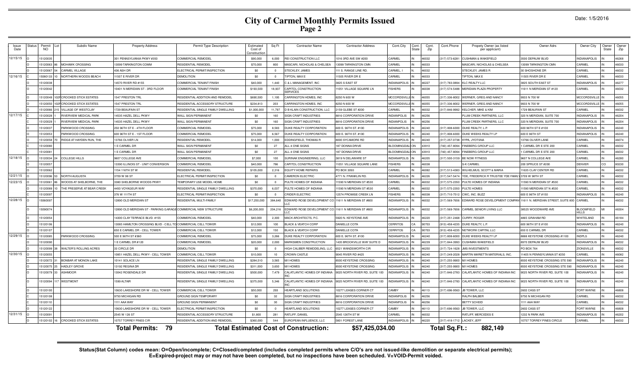# **City of Carmel Monthly Permits Issued Page 2**

|  | Date: 1/5/2016 |
|--|----------------|
|--|----------------|

| Issue<br>Date | Status | Permit<br><b>NO</b> |    | Subdiv Name                      | <b>Property Address</b>                                        | Permit Type Description                   | Estimated<br>Cost of<br>Constructio | Sq Ft          | <b>Contractor Name</b>                       | <b>Contractor Address</b>      | Cont.City           | Cont.<br>State | Cont.<br>Zip | Cont.Phone                 | Propety Owner (as listed<br>per applicant) | Owner Adrs                          | Owner City                   | Owner<br>State | Owner<br>Zip |
|---------------|--------|---------------------|----|----------------------------------|----------------------------------------------------------------|-------------------------------------------|-------------------------------------|----------------|----------------------------------------------|--------------------------------|---------------------|----------------|--------------|----------------------------|--------------------------------------------|-------------------------------------|------------------------------|----------------|--------------|
| 12/15/15      |        | 1512003             |    |                                  | 301 PENNSYLVANIA PKWY #350                                     | COMMERCIAL REMODEI                        | \$90,000                            | 6,000          | REI CONSTRUCTION LLC                         | 016 3RD AVE SW #200            | CARMEL              |                | 46032        | 17) 573-6281               | <b>CUSHMAN &amp; WAKEFIELD</b>             | 3500 DEPAUW BLVD                    | <b>INDIANAPOLIS</b>          |                | 46268        |
|               |        | 5120063             |    | <b>MOHAWK CROSSING</b>           | 3099 TARKINGTON COMM                                           | <b>RESIDENTIAL REMODEL</b>                | \$70,000                            | 800            | MASCARI, NICHOLAS & CHELSEA                  | 3099 TARKINGTON CMN            | CARMEL              |                | 46033        |                            | <b>MASCARI, NICHOLAS &amp; CHELSEA</b>     | 13099 TARKINGTON CMN                | ARMEI                        |                | 46033        |
|               |        | 5120067             |    | <b>CARMEL VILLAGE</b>            | 36 ASH DR                                                      | LECTRICAL PERMIT/INSPECTION               | \$0                                 | $\Omega$       | STECKLEY, JAMES                              | 11 S. RANGE LINE RD.           | CARMEL.             |                | 46032        |                            | STECKLEY, JAMES F                          | 30 SHOSHONE DR                      | CARMEL                       |                | 46032        |
| 12/16/15      |        | 15080133            |    | NORTHERN WOODS BEACH             | 1507 E RIVER DR                                                | DEMOLITION                                | \$0                                 | $\overline{0}$ | <b>TIPTON, MAX E</b>                         | 1505 RIVER DR E                | CARMEL              |                | 46033        |                            | TIPTON, MAX E                              | 11505 RIVER DR E                    | <b>ARMEL</b>                 |                | 46033        |
|               |        | 15120038            |    |                                  | 4570 RIVER RD #155                                             | COMMERCIAL TENANT FINISH                  | \$40,000                            | 1.440          | C & L MANAGEMENT, INC                        | <b>8825 S EAST ST</b>          | <b>INDIANAPOLIS</b> |                | 46227        | 317) 783-0894              | <b>KLC REALTY LLC</b>                      | 3825 SOUTH EAST ST                  | <b>INDIANAPOLIS</b>          |                | 46277        |
|               |        | 1512004             |    |                                  | 0401 N MERIDIAN ST - 3RD FLOOR                                 | COMMERCIAL TENANT FINISH                  | \$193,500                           | 18,937         | CAPITOL CONSTRUCTION<br><b>ERVICES</b>       | 1051 VILLAGE SQUARE LN         | <b>FISHERS</b>      |                | 46038        | 317) 574-5488              | MERIDIAN PLAZA PROPERTY                    | 11611 N MERIDIAN ST #120            | CARMEL                       |                | 46032        |
|               |        | 5120049             |    | <b>CROOKED STICK ESTATES</b>     | 547 PRESTON TRI                                                | RESIDENTIAL ADDITION AND REMODE           | \$690,500                           | 1,195          | ARRINGTON HOMES, INC                         | 250 N 600 W                    | <b>MCCORDSVIL</b>   |                | 46055        | 17) 336-800                | WERNER, GREG AND NANCY                     | 9933 N 700 W                        | <b>MCCORDSVILLI</b>          |                | 46055        |
|               |        | 512005              |    | <b>CROOKED STICK ESTATES</b>     | 547 PRESTON TRI                                                | <b>ESIDENTIAL ACCESSORY STRUCTURI</b>     | \$234.813                           | 203            | ARRINGTON HOMES, INC.                        | 250 N 600 W                    | <b>MCCORDSVIL</b>   |                | 46055        | 317) 336-8002              | WERNER, GREG AND NANCY                     | 9933 N 700 W                        | <b>ACCORDSVILLE</b>          |                | 46055        |
|               |        | 5120066             |    | VILLAGE OF WESTCLAY              | 729 BEAUFAIN ST                                                | <b>RESIDENTIAL SINGLE FAMILY DWELLING</b> | \$1,000,000                         | 11.797         | D B KLAIN CONSTRUCTION, LLC                  | 159 GLEBE ST #200              | CARMEL              |                | 46032        | 17) 846-9992               | KELCHER, MIKE & KIM                        | 1729 BEAUFAIN ST                    | ARMEI                        |                | 46032        |
| 12/17/15      |        | 5120028             |    | RIVERVIEW MEDICAL PARK           | 4535 HAZEL DELL PKWY                                           | WALL SIGN PERMANENT                       | \$0                                 | 160            | SIGN CRAFT INDUSTRIES                        | 816 CORPORATION DRIVE          | <b>INDIANPOLIS</b>  |                | 46256        |                            | PLUM CREEK PARTNERS, LLC                   | 320 N MERIDIAN, SUITE 700           | <b>INDIANAPOLIS</b>          |                | 46204        |
|               |        | 15120029            |    | <b>RIVERVIEW MEDICAL PARK</b>    | 4535 HAZEL DELL PKWY                                           | <b>WALL SIGN PERMANENT</b>                | \$0                                 | 160            | SIGN CRAFT INDUSTRIES                        | 816 CORPORATION DRIVE          | <b>INDIANPOLIS</b>  |                | 46256        |                            | PLUM CREEK PARTNERS, LLC                   | 320 N MERIDIAN, SUITE 700           | <b>INDIANAPOLIS</b>          |                | 46204        |
|               |        | 1512003             |    | PARKWOOD CROSSING                | 250 96TH ST E - 4TH FLOOR                                      | COMMERCIAL REMODEL                        | \$75,000                            | 8.583          | DUKE REALTY CORPORATION                      | 600 E. 96TH ST. #100           | <b>INDIANAPOLIS</b> |                | 46240        | 317) 808-6000              | DUKE REALTY, L.P.                          | 600 96TH ST E #100                  | <b>INDIANAPOLIS</b>          |                | 46240        |
|               |        | 1512005             |    | PARKWOOD CROSSING                | 600 96TH ST E - 1ST FLOOR                                      | COMMERCIAL REMODEL                        | \$75,000                            | 6.567          | DUKE REALTY CORPORATION                      | 600 E. 96TH ST. #100           | <b>INDIANAPOLIS</b> |                | 46240        | 17) 808-6000               | DUKE WEEKS REALTY LP                       | 600 E 96TH ST                       | <b>INDIANAPOLIS</b>          |                | 46240        |
|               |        | 15120058            |    | <b>RIDGE AT HAYDEN RUN. THE</b>  | 3766 OLIVER LN                                                 | RESIDENTIAL REMODEL                       | \$14,000                            | 1.000          | <b>DDINGFIELD, THOMAS R</b>                  | 8000 SYCAMORE RD               | <b>INDIANAPOLIS</b> |                | 46240        | 317) 257-0738              | KYPA, JYOTSNA                              | 13766 OLIVER LANE                   | <b>ARMEL</b>                 |                | 46074        |
|               |        | 1512008             |    |                                  | E CARMEL DR                                                    | WALL SIGN PERMANENT                       | \$0                                 | 27             | ALL 4 ONE SIGNS                              | 87 DONNA DRIVE                 | <b>BLOOMINGDA</b>   |                | 43910        | 40) 457-8094               | FINEBERG GROUP LLC                         | CARMEL DR E STE 200                 | <b>ARMEI</b>                 |                | 46032        |
|               |        | 1512008             |    |                                  | E CARMEL DR                                                    | VALL SIGN PERMANENT                       | \$0                                 | 27             | ALL 4 ONE SIGNS                              | <b>187 DONNA DRIVE</b>         | <b>BLOOMINGD</b>    |                | 43910        | 40) 457-8094               | FINEBERG GROUP LLC                         | CARMEL DR E STE 200                 | CARMEL                       |                | 46032        |
| 12/18/15      |        | 1512003             |    | <b>COLLEGE HILLS</b>             | 607 COLLEGE AVE                                                | OMMERCIAL REMODEL                         | \$7,000                             | 100            | SURINAK ENGINEERING, LLC                     | <b>8819 N DELAWARE ST</b>      | <b>INDIANAPOLI</b>  |                | 46205        | 17) 500-3159               | BE NOW FITNESS                             | 9607 N COLLEGE AVE                  | CARMEL                       |                | 46280        |
|               |        | 512005              |    |                                  | 3390 ILLINOIS ST - UNIT CONVERSION                             | OMMERCIAL REMODEL                         | \$40,000                            | 786            | CAPITOL CONSTRUCTION                         | 1051 VILLAGE SQUARE LANE       | <b>FISHERS</b>      |                | 46038        |                            | <b>S-K CARMEL</b>                          | 200 SPRUCE ST #200                  | <b>DENVER</b>                |                | 30230        |
|               |        | 5120062             |    |                                  | 154 116TH ST W                                                 | <b>IFSIDENTIAL REMODEL</b>                | \$105,000                           | 2,316          | EQUITY HOME REPAIRS                          | PO BOX 3093                    | CARMEL              |                | 46082        | 17) 513-4383               | WILHELMUS, SCOTT & MARIA                   | 1635 CLAY CENTER RD                 | CARMEL                       |                | 46032        |
| 12/21/15      |        | 5120096             | 53 | NORTH AUGUSTA                    | 3709 W 98 ST                                                   | <b>LECTRICAL PERMIT/INSPECTION</b>        | \$0                                 | $\Omega$       | <b>CAMERON ELECTRIC</b>                      | 771 N. FRANKLIN RD             | <b>INDIANAPOLIS</b> |                | 46226        | 817) 547-5474              | YDE. FREDERICK R TRUSTEE YDE FAMI          | 3709 W 98TH ST                      | <b>ARMEL</b>                 |                | 46032        |
| 12/23/15      |        | 15120061            | 86 | WOODS AT SHELBORNE, THE          | 3380 SHELBORNE WOODS PKWY                                      | <b>FEMPORARY USE MODEL HOME</b>           | \$0                                 | $\Omega$       | PULTE HOMES OF INDIANA                       | 1590 N MERIDIAN ST #530        | CARMEL              | IN             | 46032        | 17) 575-2350               | PULTE HOMES OF INDIANA                     | 11590 N MERIDIAN ST #530            | CARMEL                       |                | 46032        |
|               |        | 15120089            |    | THE PRESERVE AT BEAR CREEK       | 450 VOYAGEUR WAY                                               | RESIDENTIAL SINGLE FAMILY DWELLING        | \$370,000                           | 6,037          | PULTE HOMES OF INDIANA                       | 1590 N MERIDIAN ST #530        | CARMEL              |                | 46032        | 17) 575-2350               | PULTE HOMES                                | 11590 MERIDIAN ST N #530            | CARMEL                       |                | 46032        |
|               |        | 512009              |    |                                  | 376 W 111TH ST                                                 | ELECTRICAL PERMIT/INSPECTION              | \$0                                 | $\Omega$       | <b>CRIDER ELECTRIC</b>                       | <b>12574 PROMISE CREEK LN</b>  | <b>FISHERS</b>      |                | 46038        | 317) 710-7512              | CWC. INC. BUZZ                             | 600 E 96TH ST #150                  | <b>INDIANAPOLIS</b>          |                | 46240        |
| 12/28/15      |        | 1506009             |    |                                  | 2890 OLD MERIDIAN ST                                           | RESIDENTIAL MULTI-FAMILY                  | \$17,250,000                        | 384,640        | EDWARD ROSE DEVELOPMENT CO                   | 11611 N MERIDIAN ST #800       | <b>INDIANAPOLIS</b> |                | 46032        | 317) 569-7656              | EDWARD ROSE DEVELOPMENT COMPA              | 11611 N. MERIDIAN STREET, SUITE 800 | CARMEL                       |                | 46032        |
|               |        | 1509007             |    |                                  | 2890 OLD MERIDIAN ST - PARKING GARAGE COMMERCIAL NEW STRUCTURE |                                           | \$6,200,000                         | 204,216        | EDWARD ROSE DEVELOPMENT CO                   | 11611 N MERIDIAN ST #800       | NDIANAPOLIS         | -IN            | 46032        |                            | 317) 569-7656 CARMEL SENIOR LIVING LLC     | 38525 WOODWARD AVE                  | <b>BLOOMFIELD</b><br>HII I S |                | 48304        |
|               |        | 1512005             |    |                                  | 4300 CLAY TERRACE BLVD. #15                                    | <b>COMMERCIAL REMODEL</b>                 | \$40,000                            | 2,300          | MACK ARCHITECTS, P.C.                        | 5920 N. KEYSTONE AVE           | <b>INDIANAPOLIS</b> |                | 46220        | 317) 251-2468              | <b>CURRY, ROGER</b>                        | 4865 GRAHAM RD                      | WHITELAND                    |                | 46184        |
|               |        | 1512010             |    |                                  | 3085 HAMILTON CROSSING BLVD - CELL                             | COMMERCIAL CELL TOW ER                    | \$12,000                            | 100            | <b>BLACK &amp; VEATCH CORP</b>               | <b>DANIELLE COTA</b>           | <b>CERRITOS</b>     |                | 90703        | 913) 458-4235              | DUKE REALTY, L.P.                          | 600 96TH ST E #100                  | <b>INDIANAPOLIS</b>          |                | 46240        |
|               |        | 1512010             |    |                                  | 650 E CARMEL DR - CELL TOWER                                   | OMMERCIAL CELL TOW ER                     | \$12,000                            | 150            | <b>ILACK &amp; VEATCH CORP</b>               | DANIELLE COTA                  | CERRITOS            |                | 90703        | 13) 458-4235               | NETWORK CAPITAL LLC                        | 650 E CARMEL DR                     | <b>ARMEI</b>                 |                | 46032        |
| 12/29/15      |        | 512008              |    | PARKWOOD CROSSING                | 600 E 96TH ST #360                                             | OMMERCIAL REMODEL                         | \$75,000                            | 3.266          | DUKE REALTY CORPORATION                      | 600 E. 96TH ST. #100           | <b>NDIANAPOLIS</b>  |                | 46240        | 17) 808-6000               | DUKE WEEKS REALTY LP                       | 3888 KEYSTONE CROSSING #1100        | <b>NDPLS</b>                 |                | 46240        |
|               |        | 512009              |    |                                  | E CARMEL DR #120                                               | <b>COMMERCIAL REMODEL</b>                 | \$20,000                            | 2.000          | <b>MARKSMEN CONSTRUCTION</b>                 | 435 BROOKVILLE WAY SUITE D     | NDIANAPOLIS         |                | 46239        | 817) 844-3993              | <b>CUSHMAN WAKEFIELD</b>                   | 8970 DEPAUW BLVD                    | NDIANAPOLIS                  |                | 16032        |
|               |        | 5120099             | 38 | WALTER'S ROLLING ACRES           | 33 CIRCLE DR                                                   | <b>DEMOLITION</b>                         | \$0                                 | $\Omega$       | HIGH CALIBER REMODELING, LLC                 | 521 WANDSWORTH CIF             | NDIANAPOLIS         |                | 46250        | 317) 724-1628              | <b>JMS INVESTMENTS</b>                     | PO BOX 764                          | <b>ZIONSVILLE</b>            |                | 46032        |
| 12/30/15      |        | 512005              |    |                                  | 10851 HAZEL DELL PKWY - CELL TOWER                             | COMMERCIAL CELL TOWER                     | \$10,000                            | 10             | <b>CROWN CASTLE</b>                          | 045 RIVER RD #425              | <b>INDIANAPOLIS</b> |                | 46240        | 17) 249-2028               | MARTIN MARIETTA MATERIALS, INC.            | 11405 N PENNSYLVANIA ST #250        | CARMEL                       |                | 46082        |
|               |        | 15120072            | 31 | <b>BONBAR AT MONON LAKE</b>      | 0141 SOLACE LN                                                 | RESIDENTIAL SINGLE FAMILY DWELLING        | \$284,510                           | 3,565          | M/I HOMES                                    | 500 KEYSTONE CROSSING          | <b>INDIANAPOLIS</b> |                | 46240        | 17) 255-9900               | M/I HOMES                                  | 8500 KEYSTONE CROSSING STE 590      | <b>INDIANAPOLIS</b>          |                | 46240        |
|               |        | 5120075             |    | <b>HADLEY GROVE</b>              | 3192 REGINA DR                                                 | RESIDENTIAL SINGLE FAMILY DWELLING        | \$311,000                           | 3.650          | M/I HOMES                                    | 3500 KEYSTONE CROSSING         | <b>INDIANAPOLIS</b> |                | 46240        | 17) 255-9900               | <b>M/I HOMES</b>                           | 8500 KEYSTONE CROSSING STE 590      | NDIANAPOLIS                  |                | 46240        |
|               |        | 5120079             | 33 | <b>ASHMOOR</b>                   | 3042 ROSENDALE DR                                              | RESIDENTIAL SINGLE FAMILY DWELLING        | \$500,000                           | 7,479          | CALATLANTIC HOMES OF INDIANA                 | 9025 NORTH RIVER RD, SUITE 100 | <b>NDIANAPOLIS</b>  |                | 46240        | 317) 846-2783              | CALATLANTIC HOMES OF INDIANA INC           | 9025 NORTH RIVER RD, SUITE 100      | <b>VDIANAPOLIS</b>           |                | 46240        |
|               |        | 5120094             |    | <b>WESTMONT</b>                  | 599 ALTAIR                                                     | RESIDENTIAL SINGLE FAMILY DWELLING        | \$375,000                           | 5,346          | CALATLANTIC HOMES OF INDIANA                 | 0025 NORTH RIVER RD, SUITE 100 | <b>INDIANAPOLIS</b> |                | 46240        | 17) 846-2783               | CALATLANTIC HOMES OF INDIANA INC           | 9025 NORTH RIVER RD, SUITE 100      | NDIANAPOLIS                  |                | 46240        |
|               |        | 1512010             |    |                                  | 0630 LAKESHORE DR W - CELL TOWER                               | COMMERCIAL CELL TOWER                     | \$50,000                            | 293            | HEARTLAND SOLUTIONS                          | 0277 LEASES CORNER CT          | CAMBY               |                | 46113        | 17) 696-9563               | JB TOWER, LLC                              | 2602 CASS ST                        | FORT WAYNE                   |                | 46808        |
|               |        | 1512010             |    |                                  | 9750 MICHIGAN RD                                               | <b>GROUND SIGN TEMPORARY</b>              | \$0                                 | 32             | SIGN CRAFT INDUSTRIES                        | 8816 CORPORATION DRIVE         | <b>INDIANPOLIS</b>  |                | 46256        |                            | RALPH BALBER                               | 9750 N MICHIGAN RD                  | CARMEL                       |                | 46032        |
|               |        | 1512011             |    |                                  | 1111 AAA WAY                                                   | <b>GROUND SIGN PERMANENT</b>              | \$0                                 | 30             | SIGN CRAFT INDUSTRIES                        | <b>8816 CORPORATION DRIVE</b>  | <b>INDIANPOLIS</b>  |                | 46256        |                            | <b>BETTY SCHEID</b>                        | 1111 AAA WAY                        | CARMEL                       |                | 46032        |
|               |        | 512012              |    |                                  | 0630 LAKESHORE DR W - CELL TOWER                               | LECTRICAL PERMIT/INSPECTION               | \$0                                 |                | <b>HEARTLAND SOLUTIONS</b>                   | 0277 LEASES CORNER CT          | CAMBY               |                | 46113        | 17) 696-9563               | JB TOWER, LLC                              | 2602 CASS ST                        | <b>FORT WAYNE</b>            |                | 46808        |
| 12/31/15      |        | 512009              |    |                                  | 2545 W 126 ST                                                  | RESIDENTIAL ACCESSORY STRUCTURE           | \$1,800                             | 281            | RATLIFF, DANIEL                              | 2545 126TH ST W                | CARMEL              |                | 46032        |                            | RATLIFF, MERCEDES E                        | 1232 N PARK AVE                     | NDIANAPOLIS                  |                | 46202        |
|               |        |                     |    | 5120102 16 CROOKED STICK ESTATES | 0757 TORREY PINES CIR                                          | RESIDENTIAL ADDITION AND REMODEL          | \$360,000                           | 544            | EUROPEAN INFLUENCE, LLC                      | 5801 FOREST LANE               | INDIANAPOLIS IN     |                | 46220        | 317) 418-1712 LACKEY, JEFF |                                            | 10757 TORREY PINES CIRCLE           | <b>ARMEL</b>                 |                | 46032        |
|               |        |                     |    |                                  | -79<br><b>Total Permits:</b>                                   |                                           |                                     |                | <b>Total Estimated Cost of Construction:</b> | \$57,425,034.00                |                     |                |              | Total Sq.Ft.:              | 882,149                                    |                                     |                              |                |              |

Status(Stat Column) codes mean: O=Open/incomplete; C=Closed/completed (includes completed permits where C/O's are not issued-like demolition or separate electrical permits);<br>E=Expired-project may or may not have been compl